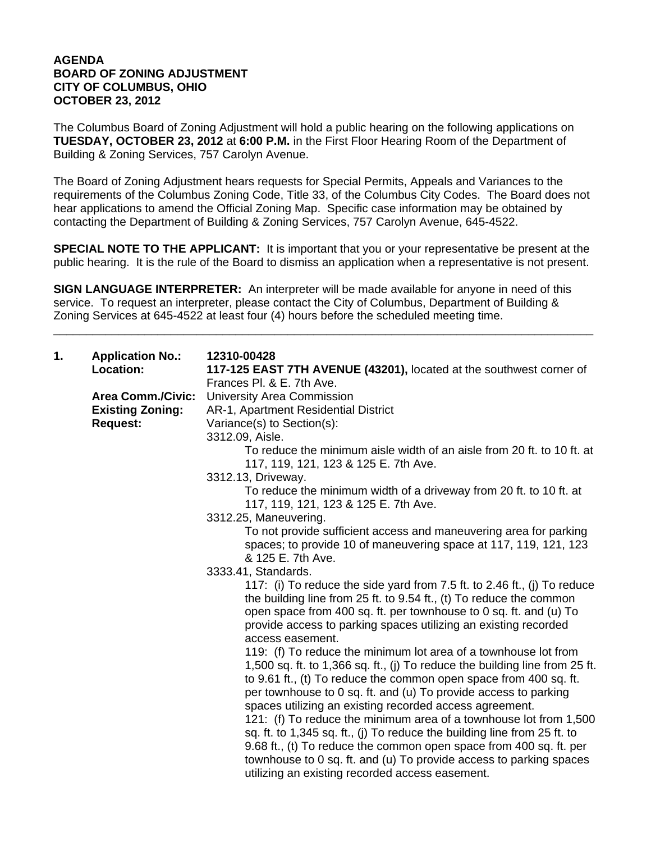## **AGENDA BOARD OF ZONING ADJUSTMENT CITY OF COLUMBUS, OHIO OCTOBER 23, 2012**

The Columbus Board of Zoning Adjustment will hold a public hearing on the following applications on **TUESDAY, OCTOBER 23, 2012** at **6:00 P.M.** in the First Floor Hearing Room of the Department of Building & Zoning Services, 757 Carolyn Avenue.

The Board of Zoning Adjustment hears requests for Special Permits, Appeals and Variances to the requirements of the Columbus Zoning Code, Title 33, of the Columbus City Codes. The Board does not hear applications to amend the Official Zoning Map. Specific case information may be obtained by contacting the Department of Building & Zoning Services, 757 Carolyn Avenue, 645-4522.

**SPECIAL NOTE TO THE APPLICANT:** It is important that you or your representative be present at the public hearing. It is the rule of the Board to dismiss an application when a representative is not present.

**SIGN LANGUAGE INTERPRETER:** An interpreter will be made available for anyone in need of this service. To request an interpreter, please contact the City of Columbus, Department of Building & Zoning Services at 645-4522 at least four (4) hours before the scheduled meeting time.

\_\_\_\_\_\_\_\_\_\_\_\_\_\_\_\_\_\_\_\_\_\_\_\_\_\_\_\_\_\_\_\_\_\_\_\_\_\_\_\_\_\_\_\_\_\_\_\_\_\_\_\_\_\_\_\_\_\_\_\_\_\_\_\_\_\_\_\_\_\_\_\_\_\_\_\_\_\_\_\_\_\_\_

| 1. | <b>Application No.:</b><br>Location:                                   | 12310-00428<br>117-125 EAST 7TH AVENUE (43201), located at the southwest corner of                                                                                                                                                                                                                                                                                                                                                                                                                                                                                                                                                                                                                                                                                                                                                                                                                                     |
|----|------------------------------------------------------------------------|------------------------------------------------------------------------------------------------------------------------------------------------------------------------------------------------------------------------------------------------------------------------------------------------------------------------------------------------------------------------------------------------------------------------------------------------------------------------------------------------------------------------------------------------------------------------------------------------------------------------------------------------------------------------------------------------------------------------------------------------------------------------------------------------------------------------------------------------------------------------------------------------------------------------|
|    | <b>Area Comm./Civic:</b><br><b>Existing Zoning:</b><br><b>Request:</b> | Frances Pl. & E. 7th Ave.<br><b>University Area Commission</b><br>AR-1, Apartment Residential District<br>Variance(s) to Section(s):<br>3312.09, Aisle.<br>To reduce the minimum aisle width of an aisle from 20 ft, to 10 ft, at<br>117, 119, 121, 123 & 125 E. 7th Ave.<br>3312.13, Driveway.<br>To reduce the minimum width of a driveway from 20 ft. to 10 ft. at<br>117, 119, 121, 123 & 125 E. 7th Ave.<br>3312.25, Maneuvering.<br>To not provide sufficient access and maneuvering area for parking<br>spaces; to provide 10 of maneuvering space at 117, 119, 121, 123<br>& 125 E. 7th Ave.<br>3333.41, Standards.<br>117: (i) To reduce the side yard from 7.5 ft. to 2.46 ft., (j) To reduce<br>the building line from 25 ft. to 9.54 ft., (t) To reduce the common<br>open space from 400 sq. ft. per townhouse to 0 sq. ft. and (u) To<br>provide access to parking spaces utilizing an existing recorded |
|    |                                                                        | access easement.<br>119: (f) To reduce the minimum lot area of a townhouse lot from<br>1,500 sq. ft. to 1,366 sq. ft., (j) To reduce the building line from 25 ft.<br>to 9.61 ft., (t) To reduce the common open space from 400 sq. ft.<br>per townhouse to 0 sq. ft. and (u) To provide access to parking<br>spaces utilizing an existing recorded access agreement.<br>121: (f) To reduce the minimum area of a townhouse lot from 1,500<br>sq. ft. to 1,345 sq. ft., (j) To reduce the building line from 25 ft. to<br>9.68 ft., (t) To reduce the common open space from 400 sq. ft. per<br>townhouse to 0 sq. ft. and (u) To provide access to parking spaces<br>utilizing an existing recorded access easement.                                                                                                                                                                                                  |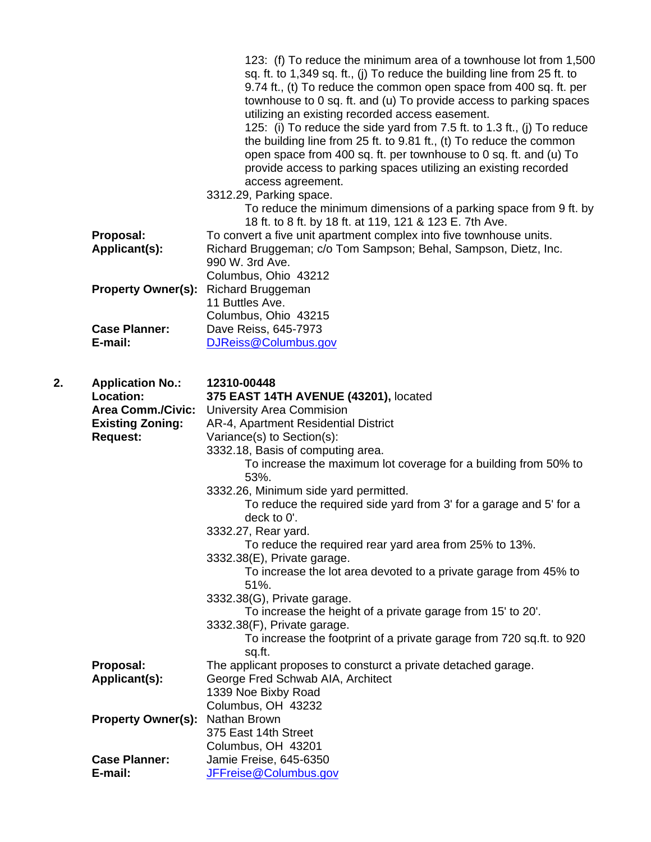|    | Proposal:<br>Applicant(s):                                                                                     | 123: (f) To reduce the minimum area of a townhouse lot from 1,500<br>sq. ft. to 1,349 sq. ft., (j) To reduce the building line from 25 ft. to<br>9.74 ft., (t) To reduce the common open space from 400 sq. ft. per<br>townhouse to 0 sq. ft. and (u) To provide access to parking spaces<br>utilizing an existing recorded access easement.<br>125: (i) To reduce the side yard from 7.5 ft. to 1.3 ft., (j) To reduce<br>the building line from 25 ft. to 9.81 ft., (t) To reduce the common<br>open space from 400 sq. ft. per townhouse to 0 sq. ft. and (u) To<br>provide access to parking spaces utilizing an existing recorded<br>access agreement.<br>3312.29, Parking space.<br>To reduce the minimum dimensions of a parking space from 9 ft. by<br>18 ft. to 8 ft. by 18 ft. at 119, 121 & 123 E. 7th Ave.<br>To convert a five unit apartment complex into five townhouse units.<br>Richard Bruggeman; c/o Tom Sampson; Behal, Sampson, Dietz, Inc.<br>990 W. 3rd Ave.<br>Columbus, Ohio 43212 |
|----|----------------------------------------------------------------------------------------------------------------|-------------------------------------------------------------------------------------------------------------------------------------------------------------------------------------------------------------------------------------------------------------------------------------------------------------------------------------------------------------------------------------------------------------------------------------------------------------------------------------------------------------------------------------------------------------------------------------------------------------------------------------------------------------------------------------------------------------------------------------------------------------------------------------------------------------------------------------------------------------------------------------------------------------------------------------------------------------------------------------------------------------|
|    | <b>Property Owner(s):</b>                                                                                      | Richard Bruggeman<br>11 Buttles Ave.                                                                                                                                                                                                                                                                                                                                                                                                                                                                                                                                                                                                                                                                                                                                                                                                                                                                                                                                                                        |
|    | <b>Case Planner:</b><br>E-mail:                                                                                | Columbus, Ohio 43215<br>Dave Reiss, 645-7973<br>DJReiss@Columbus.gov                                                                                                                                                                                                                                                                                                                                                                                                                                                                                                                                                                                                                                                                                                                                                                                                                                                                                                                                        |
| 2. | <b>Application No.:</b><br>Location:<br><b>Area Comm./Civic:</b><br><b>Existing Zoning:</b><br><b>Request:</b> | 12310-00448<br>375 EAST 14TH AVENUE (43201), located<br><b>University Area Commision</b><br>AR-4, Apartment Residential District<br>Variance(s) to Section(s):<br>3332.18, Basis of computing area.<br>To increase the maximum lot coverage for a building from 50% to<br>53%.<br>3332.26, Minimum side yard permitted.<br>To reduce the required side yard from 3' for a garage and 5' for a<br>deck to 0'.<br>3332.27, Rear yard.<br>To reduce the required rear yard area from 25% to 13%.<br>3332.38(E), Private garage.<br>To increase the lot area devoted to a private garage from 45% to<br>51%.<br>3332.38(G), Private garage.<br>To increase the height of a private garage from 15' to 20'.<br>3332.38(F), Private garage.<br>To increase the footprint of a private garage from 720 sq.ft. to 920<br>sq.ft.                                                                                                                                                                                     |
|    | Proposal:<br>Applicant(s):                                                                                     | The applicant proposes to consturct a private detached garage.<br>George Fred Schwab AIA, Architect<br>1339 Noe Bixby Road                                                                                                                                                                                                                                                                                                                                                                                                                                                                                                                                                                                                                                                                                                                                                                                                                                                                                  |
|    | <b>Property Owner(s):</b>                                                                                      | Columbus, OH 43232<br>Nathan Brown<br>375 East 14th Street                                                                                                                                                                                                                                                                                                                                                                                                                                                                                                                                                                                                                                                                                                                                                                                                                                                                                                                                                  |
|    | <b>Case Planner:</b><br>E-mail:                                                                                | Columbus, OH 43201<br>Jamie Freise, 645-6350<br>JFFreise@Columbus.gov                                                                                                                                                                                                                                                                                                                                                                                                                                                                                                                                                                                                                                                                                                                                                                                                                                                                                                                                       |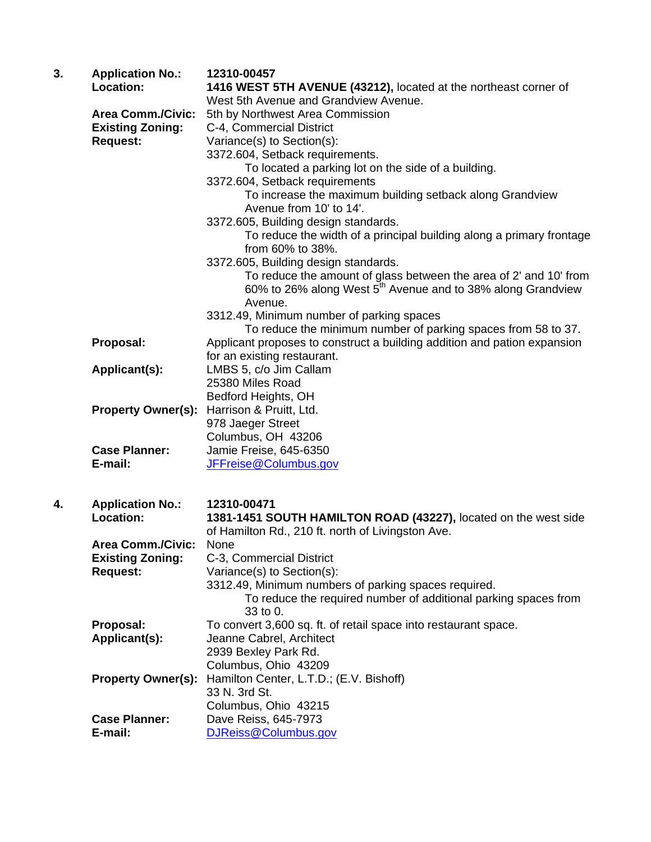| 3. | <b>Application No.:</b><br>Location: | 12310-00457<br>1416 WEST 5TH AVENUE (43212), located at the northeast corner of                                                              |
|----|--------------------------------------|----------------------------------------------------------------------------------------------------------------------------------------------|
|    |                                      | West 5th Avenue and Grandview Avenue.                                                                                                        |
|    | <b>Area Comm./Civic:</b>             | 5th by Northwest Area Commission                                                                                                             |
|    | <b>Existing Zoning:</b>              | C-4, Commercial District                                                                                                                     |
|    | <b>Request:</b>                      | Variance(s) to Section(s):                                                                                                                   |
|    |                                      | 3372.604, Setback requirements.                                                                                                              |
|    |                                      | To located a parking lot on the side of a building.                                                                                          |
|    |                                      | 3372.604, Setback requirements                                                                                                               |
|    |                                      | To increase the maximum building setback along Grandview                                                                                     |
|    |                                      | Avenue from 10' to 14'.                                                                                                                      |
|    |                                      | 3372.605, Building design standards.                                                                                                         |
|    |                                      | To reduce the width of a principal building along a primary frontage                                                                         |
|    |                                      | from 60% to 38%.                                                                                                                             |
|    |                                      | 3372.605, Building design standards.                                                                                                         |
|    |                                      | To reduce the amount of glass between the area of 2' and 10' from<br>60% to 26% along West 5 <sup>th</sup> Avenue and to 38% along Grandview |
|    |                                      | Avenue.                                                                                                                                      |
|    |                                      | 3312.49, Minimum number of parking spaces                                                                                                    |
|    |                                      | To reduce the minimum number of parking spaces from 58 to 37.                                                                                |
|    | Proposal:                            | Applicant proposes to construct a building addition and pation expansion                                                                     |
|    |                                      | for an existing restaurant.                                                                                                                  |
|    | Applicant(s):                        | LMBS 5, c/o Jim Callam<br>25380 Miles Road                                                                                                   |
|    |                                      |                                                                                                                                              |
|    |                                      | Bedford Heights, OH<br>Harrison & Pruitt, Ltd.                                                                                               |
|    | <b>Property Owner(s):</b>            | 978 Jaeger Street                                                                                                                            |
|    |                                      | Columbus, OH 43206                                                                                                                           |
|    | <b>Case Planner:</b>                 | Jamie Freise, 645-6350                                                                                                                       |
|    | E-mail:                              | JFFreise@Columbus.gov                                                                                                                        |
|    |                                      |                                                                                                                                              |
| 4. | <b>Application No.:</b>              | 12310-00471                                                                                                                                  |
|    | Location:                            | 1381-1451 SOUTH HAMILTON ROAD (43227), located on the west side                                                                              |
|    |                                      | of Hamilton Rd., 210 ft. north of Livingston Ave.                                                                                            |
|    | <b>Area Comm./Civic:</b>             | None                                                                                                                                         |
|    | <b>Existing Zoning:</b>              | C-3, Commercial District                                                                                                                     |
|    | <b>Request:</b>                      | Variance(s) to Section(s):                                                                                                                   |
|    |                                      | 3312.49, Minimum numbers of parking spaces required.                                                                                         |
|    |                                      | To reduce the required number of additional parking spaces from<br>33 to 0.                                                                  |
|    | Proposal:                            | To convert 3,600 sq. ft. of retail space into restaurant space.                                                                              |
|    | Applicant(s):                        | Jeanne Cabrel, Architect                                                                                                                     |
|    |                                      | 2939 Bexley Park Rd.                                                                                                                         |
|    |                                      | Columbus, Ohio 43209                                                                                                                         |
|    | <b>Property Owner(s):</b>            | Hamilton Center, L.T.D.; (E.V. Bishoff)                                                                                                      |
|    |                                      | 33 N. 3rd St.                                                                                                                                |
|    |                                      | Columbus, Ohio 43215                                                                                                                         |
|    | <b>Case Planner:</b>                 | Dave Reiss, 645-7973                                                                                                                         |
|    | E-mail:                              | DJReiss@Columbus.gov                                                                                                                         |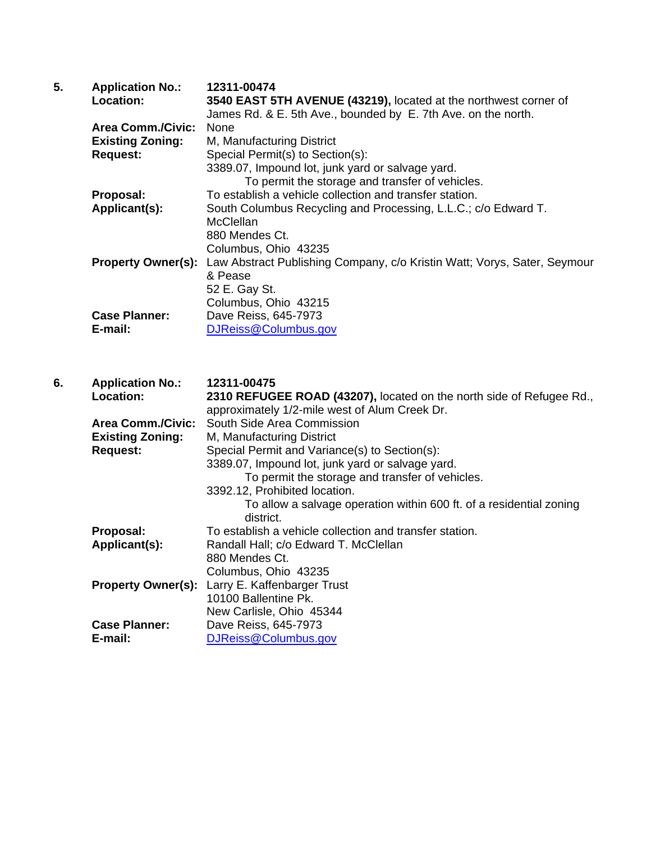| 5. | <b>Application No.:</b>   | 12311-00474                                                              |
|----|---------------------------|--------------------------------------------------------------------------|
|    | Location:                 | 3540 EAST 5TH AVENUE (43219), located at the northwest corner of         |
|    |                           | James Rd. & E. 5th Ave., bounded by E. 7th Ave. on the north.            |
|    | <b>Area Comm./Civic:</b>  | None                                                                     |
|    | <b>Existing Zoning:</b>   | M, Manufacturing District                                                |
|    | <b>Request:</b>           | Special Permit(s) to Section(s):                                         |
|    |                           | 3389.07, Impound lot, junk yard or salvage yard.                         |
|    |                           | To permit the storage and transfer of vehicles.                          |
|    | Proposal:                 | To establish a vehicle collection and transfer station.                  |
|    | Applicant(s):             | South Columbus Recycling and Processing, L.L.C.; c/o Edward T.           |
|    |                           | McClellan                                                                |
|    |                           | 880 Mendes Ct.                                                           |
|    |                           | Columbus, Ohio 43235                                                     |
|    | <b>Property Owner(s):</b> | Law Abstract Publishing Company, c/o Kristin Watt; Vorys, Sater, Seymour |
|    |                           | & Pease                                                                  |
|    |                           | 52 E. Gay St.                                                            |
|    |                           | Columbus, Ohio 43215                                                     |
|    | <b>Case Planner:</b>      | Dave Reiss, 645-7973                                                     |
|    | E-mail:                   | DJReiss@Columbus.gov                                                     |

| 6. | <b>Application No.:</b>   | 12311-00475                                                          |
|----|---------------------------|----------------------------------------------------------------------|
|    | Location:                 | 2310 REFUGEE ROAD (43207), located on the north side of Refugee Rd., |
|    |                           | approximately 1/2-mile west of Alum Creek Dr.                        |
|    | <b>Area Comm./Civic:</b>  | South Side Area Commission                                           |
|    | <b>Existing Zoning:</b>   | M, Manufacturing District                                            |
|    | <b>Request:</b>           | Special Permit and Variance(s) to Section(s):                        |
|    |                           | 3389.07, Impound lot, junk yard or salvage yard.                     |
|    |                           | To permit the storage and transfer of vehicles.                      |
|    |                           | 3392.12, Prohibited location.                                        |
|    |                           | To allow a salvage operation within 600 ft. of a residential zoning  |
|    |                           | district.                                                            |
|    | Proposal:                 | To establish a vehicle collection and transfer station.              |
|    | Applicant(s):             | Randall Hall; c/o Edward T. McClellan                                |
|    |                           | 880 Mendes Ct.                                                       |
|    |                           | Columbus, Ohio 43235                                                 |
|    | <b>Property Owner(s):</b> | Larry E. Kaffenbarger Trust                                          |
|    |                           | 10100 Ballentine Pk.                                                 |
|    |                           | New Carlisle, Ohio 45344                                             |
|    | <b>Case Planner:</b>      | Dave Reiss, 645-7973                                                 |
|    | E-mail:                   | DJReiss@Columbus.gov                                                 |
|    |                           |                                                                      |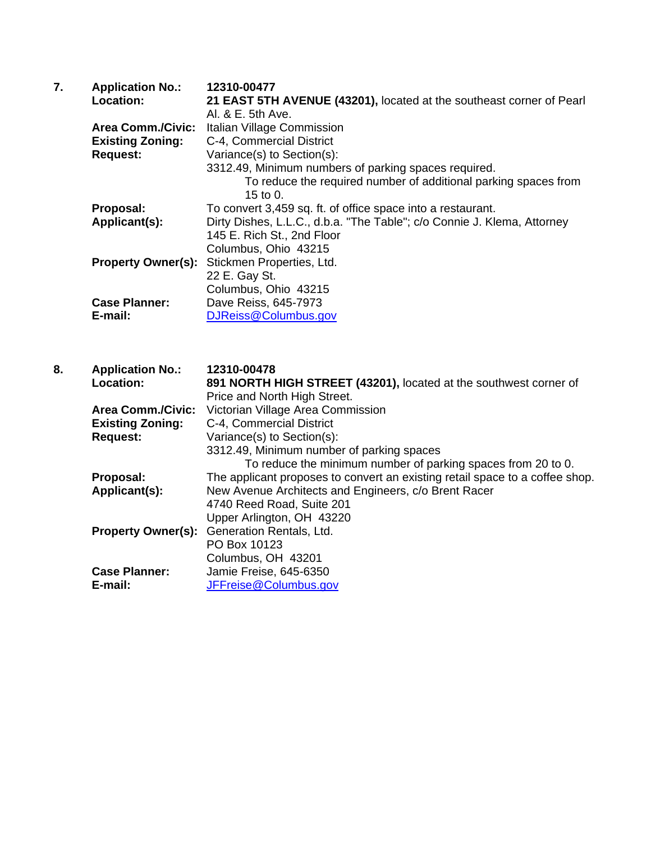| 7. | <b>Application No.:</b>   | 12310-00477                                                             |
|----|---------------------------|-------------------------------------------------------------------------|
|    | Location:                 | 21 EAST 5TH AVENUE (43201), located at the southeast corner of Pearl    |
|    |                           | Al. & E. 5th Ave.                                                       |
|    | <b>Area Comm./Civic:</b>  | Italian Village Commission                                              |
|    | <b>Existing Zoning:</b>   | C-4, Commercial District                                                |
|    | <b>Request:</b>           | Variance(s) to Section(s):                                              |
|    |                           | 3312.49, Minimum numbers of parking spaces required.                    |
|    |                           | To reduce the required number of additional parking spaces from         |
|    |                           | 15 to 0.                                                                |
|    | Proposal:                 | To convert 3,459 sq. ft. of office space into a restaurant.             |
|    | Applicant(s):             | Dirty Dishes, L.L.C., d.b.a. "The Table"; c/o Connie J. Klema, Attorney |
|    |                           | 145 E. Rich St., 2nd Floor                                              |
|    |                           | Columbus, Ohio 43215                                                    |
|    | <b>Property Owner(s):</b> | Stickmen Properties, Ltd.                                               |
|    |                           | 22 E. Gay St.                                                           |
|    |                           | Columbus, Ohio 43215                                                    |
|    | <b>Case Planner:</b>      | Dave Reiss, 645-7973                                                    |
|    | E-mail:                   | DJReiss@Columbus.gov                                                    |
|    |                           |                                                                         |

**8. Application No.: 12310-00478 Location: 891 NORTH HIGH STREET (43201),** located at the southwest corner of Price and North High Street. **Area Comm./Civic:** Victorian Village Area Commission<br>**Existing Zoning:** C-4, Commercial District  **Existing Zoning:** C-4, Commercial District **Request:** Variance(s) to Section(s): 3312.49, Minimum number of parking spaces To reduce the minimum number of parking spaces from 20 to 0. **Proposal:** The applicant proposes to convert an existing retail space to a coffee shop. **Applicant(s):** New Avenue Architects and Engineers, c/o Brent Racer 4740 Reed Road, Suite 201 Upper Arlington, OH 43220 **Property Owner(s):** Generation Rentals, Ltd. PO Box 10123 Columbus, OH 43201 **Case Planner:** Jamie Freise, 645-6350 **E-mail:** JFFreise@Columbus.gov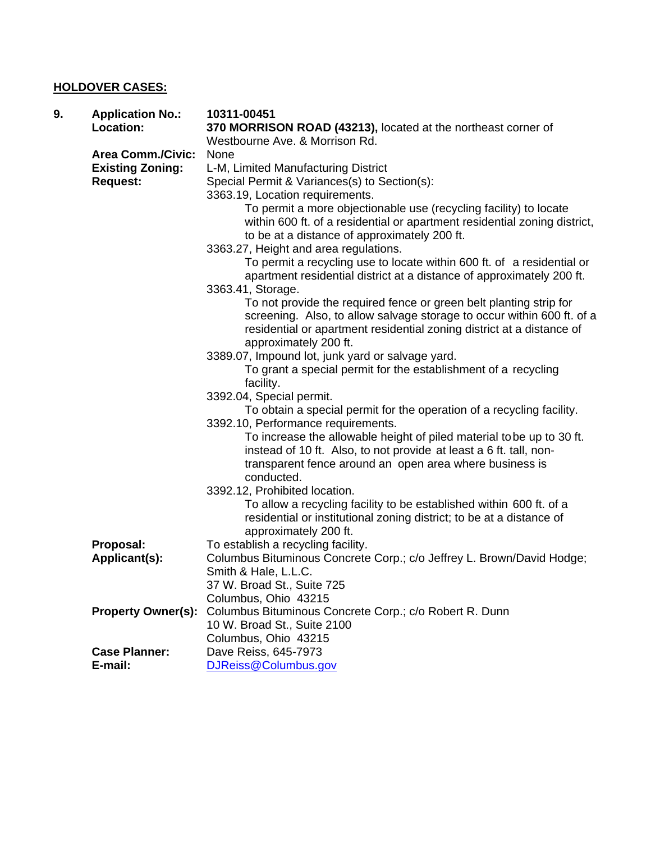## **HOLDOVER CASES:**

| 9. | <b>Application No.:</b><br>Location:                                   | 10311-00451<br>370 MORRISON ROAD (43213), located at the northeast corner of<br>Westbourne Ave. & Morrison Rd.                                                                                                                                 |
|----|------------------------------------------------------------------------|------------------------------------------------------------------------------------------------------------------------------------------------------------------------------------------------------------------------------------------------|
|    | <b>Area Comm./Civic:</b><br><b>Existing Zoning:</b><br><b>Request:</b> | None<br>L-M, Limited Manufacturing District<br>Special Permit & Variances(s) to Section(s):                                                                                                                                                    |
|    |                                                                        | 3363.19, Location requirements.<br>To permit a more objectionable use (recycling facility) to locate<br>within 600 ft. of a residential or apartment residential zoning district,<br>to be at a distance of approximately 200 ft.              |
|    |                                                                        | 3363.27, Height and area regulations.<br>To permit a recycling use to locate within 600 ft. of a residential or<br>apartment residential district at a distance of approximately 200 ft.<br>3363.41, Storage.                                  |
|    |                                                                        | To not provide the required fence or green belt planting strip for<br>screening. Also, to allow salvage storage to occur within 600 ft. of a<br>residential or apartment residential zoning district at a distance of<br>approximately 200 ft. |
|    |                                                                        | 3389.07, Impound lot, junk yard or salvage yard.<br>To grant a special permit for the establishment of a recycling<br>facility.                                                                                                                |
|    |                                                                        | 3392.04, Special permit.<br>To obtain a special permit for the operation of a recycling facility.<br>3392.10, Performance requirements.                                                                                                        |
|    |                                                                        | To increase the allowable height of piled material to be up to 30 ft.<br>instead of 10 ft. Also, to not provide at least a 6 ft. tall, non-<br>transparent fence around an open area where business is<br>conducted.                           |
|    |                                                                        | 3392.12, Prohibited location.<br>To allow a recycling facility to be established within 600 ft. of a<br>residential or institutional zoning district; to be at a distance of<br>approximately 200 ft.                                          |
|    | Proposal:<br>Applicant(s):                                             | To establish a recycling facility.<br>Columbus Bituminous Concrete Corp.; c/o Jeffrey L. Brown/David Hodge;<br>Smith & Hale, L.L.C.<br>37 W. Broad St., Suite 725                                                                              |
|    | <b>Property Owner(s):</b>                                              | Columbus, Ohio 43215<br>Columbus Bituminous Concrete Corp.; c/o Robert R. Dunn<br>10 W. Broad St., Suite 2100<br>Columbus, Ohio 43215                                                                                                          |
|    | <b>Case Planner:</b><br>E-mail:                                        | Dave Reiss, 645-7973<br>DJReiss@Columbus.gov                                                                                                                                                                                                   |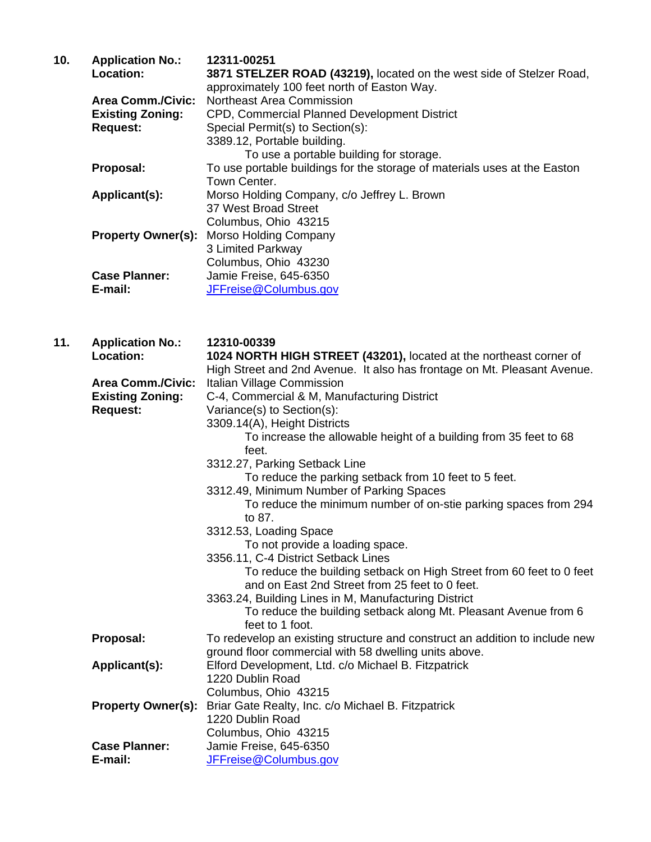| 10. | <b>Application No.:</b>   | 12311-00251                                                               |
|-----|---------------------------|---------------------------------------------------------------------------|
|     | Location:                 | 3871 STELZER ROAD (43219), located on the west side of Stelzer Road,      |
|     |                           | approximately 100 feet north of Easton Way.                               |
|     | <b>Area Comm./Civic:</b>  | Northeast Area Commission                                                 |
|     | <b>Existing Zoning:</b>   | CPD, Commercial Planned Development District                              |
|     | <b>Request:</b>           | Special Permit(s) to Section(s):                                          |
|     |                           | 3389.12, Portable building.                                               |
|     |                           | To use a portable building for storage.                                   |
|     | Proposal:                 | To use portable buildings for the storage of materials uses at the Easton |
|     |                           | Town Center.                                                              |
|     | Applicant(s):             | Morso Holding Company, c/o Jeffrey L. Brown                               |
|     |                           | 37 West Broad Street                                                      |
|     |                           | Columbus, Ohio 43215                                                      |
|     | <b>Property Owner(s):</b> | Morso Holding Company                                                     |
|     |                           | 3 Limited Parkway                                                         |
|     |                           | Columbus, Ohio 43230                                                      |
|     | <b>Case Planner:</b>      | Jamie Freise, 645-6350                                                    |
|     | E-mail:                   | JFFreise@Columbus.gov                                                     |

| 11. | <b>Application No.:</b>   | 12310-00339                                                                                                            |
|-----|---------------------------|------------------------------------------------------------------------------------------------------------------------|
|     | Location:                 | 1024 NORTH HIGH STREET (43201), located at the northeast corner of                                                     |
|     |                           | High Street and 2nd Avenue. It also has frontage on Mt. Pleasant Avenue.                                               |
|     | <b>Area Comm./Civic:</b>  | Italian Village Commission                                                                                             |
|     | <b>Existing Zoning:</b>   | C-4, Commercial & M, Manufacturing District                                                                            |
|     | <b>Request:</b>           | Variance(s) to Section(s):                                                                                             |
|     |                           | 3309.14(A), Height Districts                                                                                           |
|     |                           | To increase the allowable height of a building from 35 feet to 68<br>feet.                                             |
|     |                           | 3312.27, Parking Setback Line                                                                                          |
|     |                           | To reduce the parking setback from 10 feet to 5 feet.                                                                  |
|     |                           | 3312.49, Minimum Number of Parking Spaces                                                                              |
|     |                           | To reduce the minimum number of on-stie parking spaces from 294                                                        |
|     |                           | to 87.                                                                                                                 |
|     |                           | 3312.53, Loading Space                                                                                                 |
|     |                           | To not provide a loading space.                                                                                        |
|     |                           | 3356.11, C-4 District Setback Lines                                                                                    |
|     |                           | To reduce the building setback on High Street from 60 feet to 0 feet<br>and on East 2nd Street from 25 feet to 0 feet. |
|     |                           | 3363.24, Building Lines in M, Manufacturing District                                                                   |
|     |                           | To reduce the building setback along Mt. Pleasant Avenue from 6                                                        |
|     |                           | feet to 1 foot.                                                                                                        |
|     | Proposal:                 | To redevelop an existing structure and construct an addition to include new                                            |
|     |                           | ground floor commercial with 58 dwelling units above.                                                                  |
|     | Applicant(s):             | Elford Development, Ltd. c/o Michael B. Fitzpatrick                                                                    |
|     |                           | 1220 Dublin Road                                                                                                       |
|     |                           | Columbus, Ohio 43215                                                                                                   |
|     | <b>Property Owner(s):</b> | Briar Gate Realty, Inc. c/o Michael B. Fitzpatrick                                                                     |
|     |                           | 1220 Dublin Road                                                                                                       |
|     |                           | Columbus, Ohio 43215                                                                                                   |
|     | <b>Case Planner:</b>      | Jamie Freise, 645-6350                                                                                                 |
|     | E-mail:                   | JFFreise@Columbus.gov                                                                                                  |